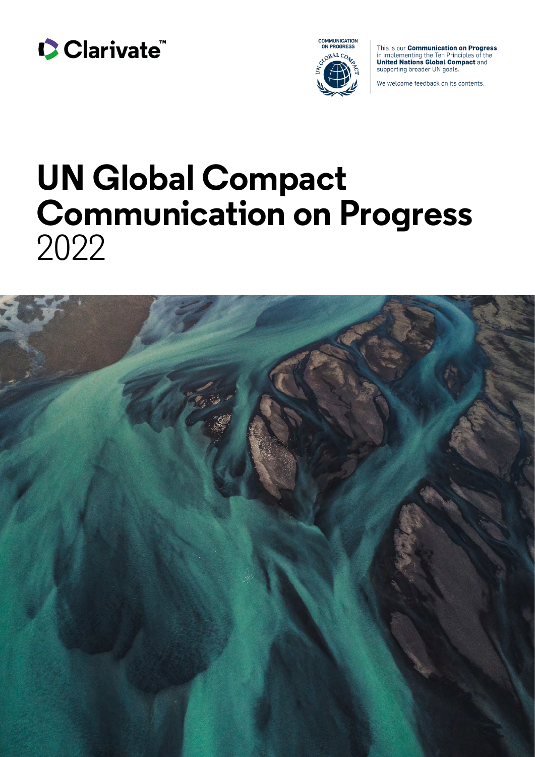



This is our **Communication on Progress** in implementing the Ten Principles of the<br>United Nations Global Compact and supporting broader UN goals.

We welcome feedback on its contents.

# **UN Global Compact Communication on Progress**  2022

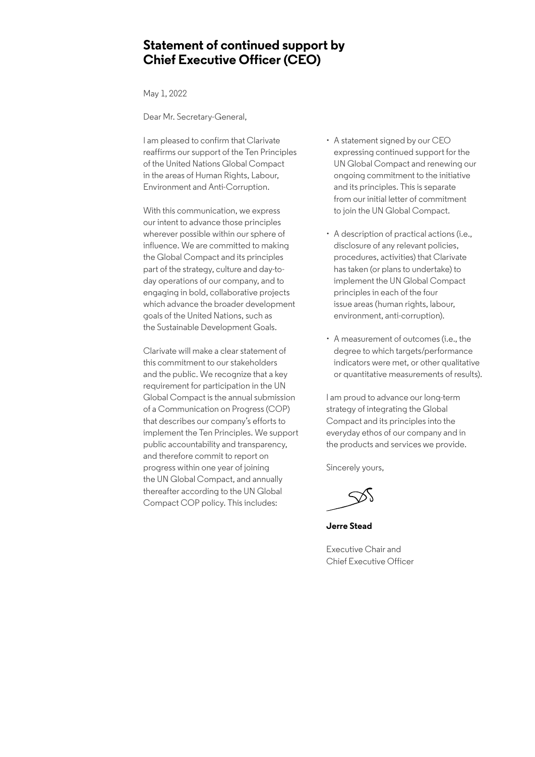### **Statement of continued support by Chief Executive Officer (CEO)**

May 1, 2022

Dear Mr. Secretary-General,

I am pleased to confirm that Clarivate reaffirms our support of the Ten Principles of the United Nations Global Compact in the areas of Human Rights, Labour, Environment and Anti-Corruption.

With this communication, we express our intent to advance those principles wherever possible within our sphere of influence. We are committed to making the Global Compact and its principles part of the strategy, culture and day-today operations of our company, and to engaging in bold, collaborative projects which advance the broader development goals of the United Nations, such as the Sustainable Development Goals.

Clarivate will make a clear statement of this commitment to our stakeholders and the public. We recognize that a key requirement for participation in the UN Global Compact is the annual submission of a Communication on Progress (COP) that describes our company's efforts to implement the Ten Principles. We support public accountability and transparency, and therefore commit to report on progress within one year of joining the UN Global Compact, and annually thereafter according to the UN Global Compact COP policy. This includes:

- A statement signed by our CEO expressing continued support for the UN Global Compact and renewing our ongoing commitment to the initiative and its principles. This is separate from our initial letter of commitment to join the UN Global Compact.
- A description of practical actions (i.e., disclosure of any relevant policies, procedures, activities) that Clarivate has taken (or plans to undertake) to implement the UN Global Compact principles in each of the four issue areas (human rights, labour, environment, anti-corruption).
- A measurement of outcomes (i.e., the degree to which targets/performance indicators were met, or other qualitative or quantitative measurements of results).

I am proud to advance our long-term strategy of integrating the Global Compact and its principles into the everyday ethos of our company and in the products and services we provide.

Sincerely yours,

**Jerre Stead**

Executive Chair and Chief Executive Officer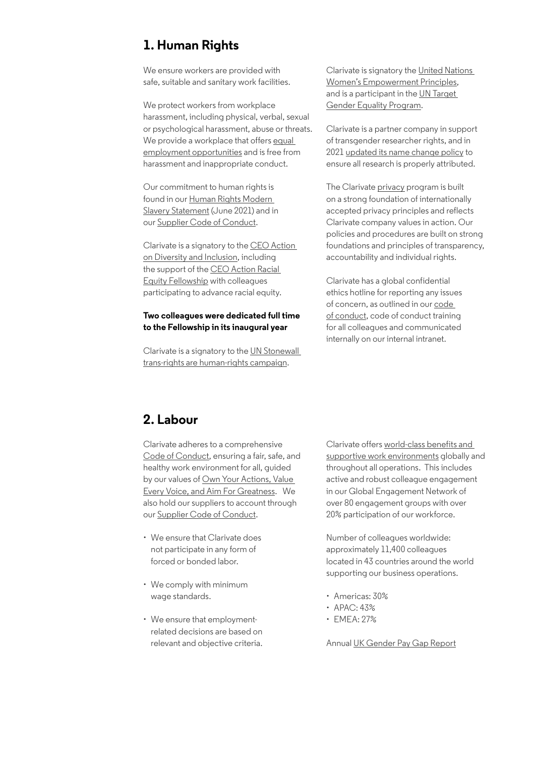## **1. Human Rights**

We ensure workers are provided with safe, suitable and sanitary work facilities.

We protect workers from workplace harassment, including physical, verbal, sexual or psychological harassment, abuse or threats. We provide a workplace that offers equal [employment opportunities](https://careers.clarivate.com/Content/Clarivate/Images/EEO Statement.pdf) and is free from harassment and inappropriate conduct.

Our commitment to human rights is found in our [Human Rights Modern](https://clarivate.com/wp-content/uploads/2021/11/Clarivate-Modern-Slavery-Statement-FY20-Final-Version-signed.pdf)  [Slavery Statement](https://clarivate.com/wp-content/uploads/2021/11/Clarivate-Modern-Slavery-Statement-FY20-Final-Version-signed.pdf) (June 2021) and in our [Supplier Code of Conduct.](https://clarivate.com/wp-content/uploads/dlm_uploads/2021/05/Clarivate-Supply-Chain-Code-of-Conduct-9.3.21.pdf)

Clarivate is a signatory to the [CEO Action](https://clarivate.com/blog/pledging-our-commitment-to-diversity-and-inclusion/)  [on Diversity and Inclusion](https://clarivate.com/blog/pledging-our-commitment-to-diversity-and-inclusion/), including the support of the [CEO Action Racial](https://ceoactionracialequity.com/)  [Equity Fellowship](https://ceoactionracialequity.com/) with colleagues participating to advance racial equity.

#### **Two colleagues were dedicated full time to the Fellowship in its inaugural year**

Clarivate is a signatory to the [UN Stonewall](https://clarivate.com/blog/treating-everyone-with-dignity-and-respect-trans-rights-are-human-rights/)  [trans-rights are human-rights campaign.](https://clarivate.com/blog/treating-everyone-with-dignity-and-respect-trans-rights-are-human-rights/)

Clarivate is signatory the [United Nations](https://www.weps.org/)  [Women's Empowerment Principles](https://www.weps.org/), and is a participant in the [UN Target](https://www.unglobalcompact.org/take-action/target-gender-equality)  [Gender Equality Program.](https://www.unglobalcompact.org/take-action/target-gender-equality)

Clarivate is a partner company in support of transgender researcher rights, and in 2021 [updated its name change policy](https://www.3blmedia.com/news/web-science-name-change-policy) to ensure all research is properly attributed.

The Clarivate [privacy](https://clarivate.com/privacy-center/) program is built on a strong foundation of internationally accepted privacy principles and reflects Clarivate company values in action. Our policies and procedures are built on strong foundations and principles of transparency, accountability and individual rights.

Clarivate has a global confidential ethics hotline for reporting any issues of concern, as outlined in our [code](https://s25.q4cdn.com/843006813/files/doc_downloads/governance/0eb330de-31eb-7560-41e7-273c27d0ec39.pdf)  [of conduct,](https://s25.q4cdn.com/843006813/files/doc_downloads/governance/0eb330de-31eb-7560-41e7-273c27d0ec39.pdf) code of conduct training for all colleagues and communicated internally on our internal intranet.

## **2. Labour**

Clarivate adheres to a comprehensive [Code of Conduct,](https://s25.q4cdn.com/843006813/files/doc_downloads/governance/0eb330de-31eb-7560-41e7-273c27d0ec39.pdf) ensuring a fair, safe, and healthy work environment for all, guided by our values of [Own Your Actions, Value](https://clarivate.com/about-us/)  [Every Voice, and Aim For Greatness](https://clarivate.com/about-us/). We also hold our suppliers to account through our [Supplier Code of Conduct.](https://clarivate.com/wp-content/uploads/dlm_uploads/2021/05/Clarivate-Supply-Chain-Code-of-Conduct-9.3.21.pdf)

- We ensure that Clarivate does not participate in any form of forced or bonded labor.
- We comply with minimum wage standards.
- We ensure that employmentrelated decisions are based on relevant and objective criteria.

Clarivate offers [world-class benefits and](https://careers.clarivate.com/creative/clarivate-careers)  [supportive work environments](https://careers.clarivate.com/creative/clarivate-careers) globally and throughout all operations. This includes active and robust colleague engagement in our Global Engagement Network of over 80 engagement groups with over 20% participation of our workforce.

Number of colleagues worldwide: approximately 11,400 colleagues located in 43 countries around the world supporting our business operations.

- Americas: 30%
- APAC: 43%
- EMEA: 27%

Annual [UK Gender Pay Gap Report](https://clarivate.com/legal/uk-gender-pay-gap-report/)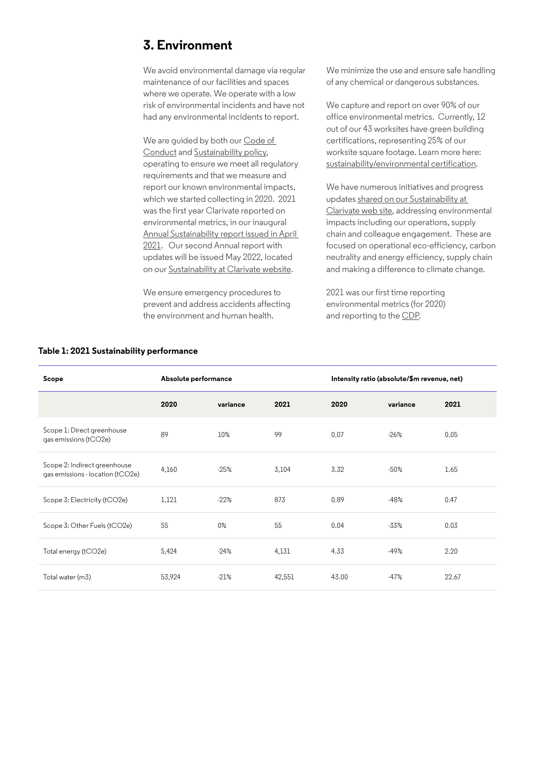## **3. Environment**

We avoid environmental damage via regular maintenance of our facilities and spaces where we operate. We operate with a low risk of environmental incidents and have not had any environmental incidents to report.

We are quided by both our Code of [Conduct](https://s25.q4cdn.com/843006813/files/doc_downloads/2021/Code-of-Conduct-v-2.2-(23-November-2020)-English.pdf) and [Sustainability policy](https://clarivate.com/wp-content/uploads/dlm_uploads/2021/07/Clarivate-Sustainability-Policy.pdf), operating to ensure we meet all regulatory requirements and that we measure and report our known environmental impacts, which we started collecting in 2020. 2021 was the first year Clarivate reported on environmental metrics, in our inaugural [Annual Sustainability report issued in April](https://ebooks.clarivate.com/story/2020-clarivate-sustainability-report/page/7)  [2021](https://ebooks.clarivate.com/story/2020-clarivate-sustainability-report/page/7). Our second Annual report with updates will be issued May 2022, located on our [Sustainability at Clarivate website](https://clarivate.com/sustainability-at-clarivate/).

We ensure emergency procedures to prevent and address accidents affecting the environment and human health.

We minimize the use and ensure safe handling of any chemical or dangerous substances.

We capture and report on over 90% of our office environmental metrics. Currently, 12 out of our 43 worksites have green building certifications, representing 25% of our worksite square footage. Learn more here: [sustainability/environmental certification.](https://clarivate.com/sustainability-at-clarivate/environment/)

We have numerous initiatives and progress updates [shared on our Sustainability at](https://clarivate.com/sustainability-at-clarivate/environment/)  [Clarivate web site](https://clarivate.com/sustainability-at-clarivate/environment/), addressing environmental impacts including our operations, supply chain and colleague engagement. These are focused on operational eco-efficiency, carbon neutrality and energy efficiency, supply chain and making a difference to climate change.

2021 was our first time reporting environmental metrics (for 2020) and reporting to the [CDP](https://www.cdp.net/en/responses/839740?back_to=https%3A%2F%2Fwww.cdp.net%2Fen%2Fresponses%3Futf8%3D%25E2%259C%2593%26queries%255Bname%255D%3DClarivate&queries%5Bname%5D=Clarivate).

| Scope                                                            | Absolute performance |          |        | Intensity ratio (absolute/\$m revenue, net) |          |       |
|------------------------------------------------------------------|----------------------|----------|--------|---------------------------------------------|----------|-------|
|                                                                  | 2020                 | variance | 2021   | 2020                                        | variance | 2021  |
| Scope 1: Direct greenhouse<br>qas emissions (tCO2e)              | 89                   | 10%      | 99     | 0.07                                        | $-26%$   | 0.05  |
| Scope 2: Indirect greenhouse<br>qas emissions - location (tCO2e) | 4,160                | $-25%$   | 3,104  | 3.32                                        | $-50%$   | 1.65  |
| Scope 3: Electricity (tCO2e)                                     | 1,121                | $-22%$   | 873    | 0.89                                        | $-48%$   | 0.47  |
| Scope 3: Other Fuels (tCO2e)                                     | 55                   | $0\%$    | 55     | 0.04                                        | -33%     | 0.03  |
| Total energy (tCO2e)                                             | 5,424                | $-24%$   | 4,131  | 4.33                                        | $-49%$   | 2.20  |
| Total water (m3)                                                 | 53,924               | $-21%$   | 42,551 | 43.00                                       | $-47%$   | 22.67 |

#### **Table 1: 2021 Sustainability performance**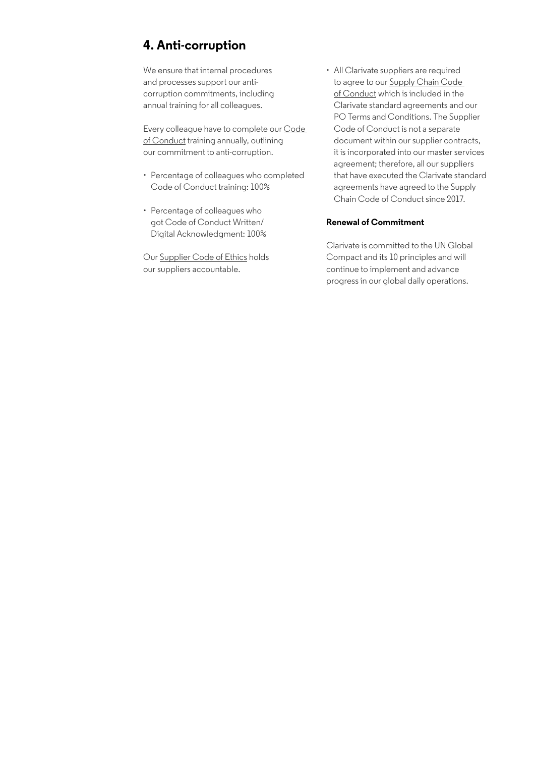# **4. Anti-corruption**

We ensure that internal procedures and processes support our anticorruption commitments, including annual training for all colleagues.

Every colleague have to complete our [Code](https://s25.q4cdn.com/843006813/files/doc_downloads/2021/Code-of-Conduct-v-2.2-(23-November-2020)-English.pdf)  [of Conduct](https://s25.q4cdn.com/843006813/files/doc_downloads/2021/Code-of-Conduct-v-2.2-(23-November-2020)-English.pdf) training annually, outlining our commitment to anti-corruption.

- Percentage of colleagues who completed Code of Conduct training: 100%
- Percentage of colleagues who got Code of Conduct Written/ Digital Acknowledgment: 100%

Our [Supplier Code of Ethics](https://clarivate.com/wp-content/uploads/dlm_uploads/2020/08/Clarivate-Supplier-Code-of-Ethics-Final-v2-11022020.pdf) holds our suppliers accountable.

• All Clarivate suppliers are required to agree to our [Supply Chain Code](https://clarivate.com/wp-content/uploads/dlm_uploads/2021/05/Clarivate-Supply-Chain-Code-of-Conduct-9.3.21.pdf)  [of Conduct](https://clarivate.com/wp-content/uploads/dlm_uploads/2021/05/Clarivate-Supply-Chain-Code-of-Conduct-9.3.21.pdf) which is included in the Clarivate standard agreements and our PO Terms and Conditions. The Supplier Code of Conduct is not a separate document within our supplier contracts, it is incorporated into our master services agreement; therefore, all our suppliers that have executed the Clarivate standard agreements have agreed to the Supply Chain Code of Conduct since 2017.

#### **Renewal of Commitment**

Clarivate is committed to the UN Global Compact and its 10 principles and will continue to implement and advance progress in our global daily operations.